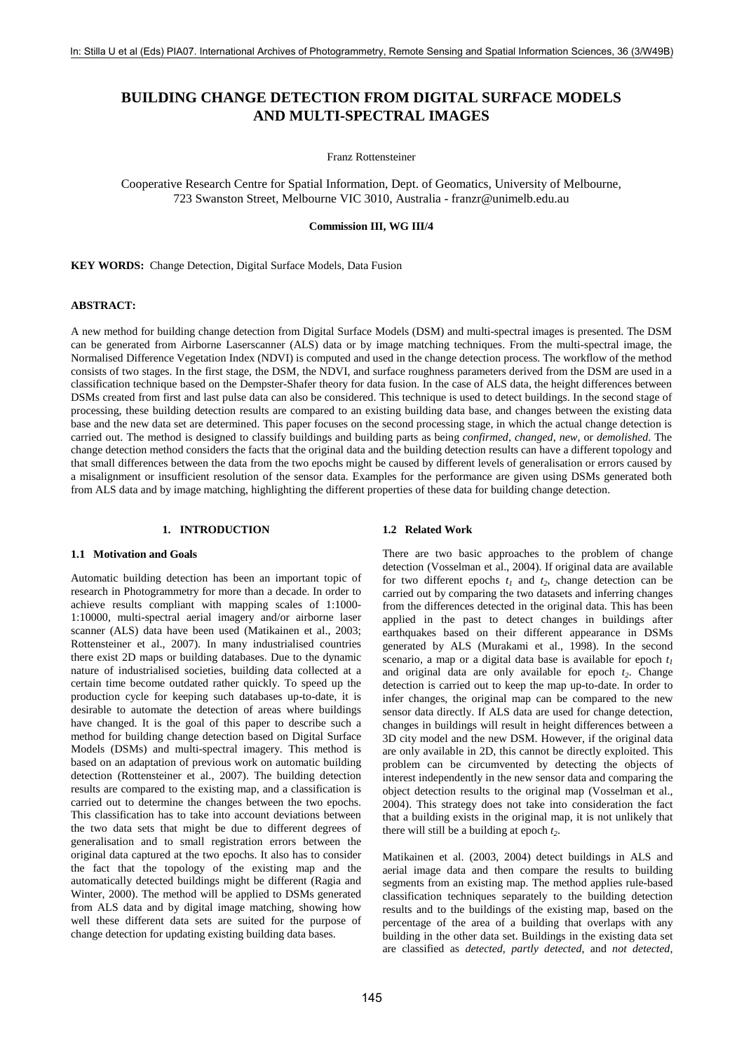# **BUILDING CHANGE DETECTION FROM DIGITAL SURFACE MODELS AND MULTI-SPECTRAL IMAGES**

Franz Rottensteiner

Cooperative Research Centre for Spatial Information, Dept. of Geomatics, University of Melbourne, 723 Swanston Street, Melbourne VIC 3010, Australia - franzr@unimelb.edu.au

**Commission III, WG III/4** 

**KEY WORDS:** Change Detection, Digital Surface Models, Data Fusion

### **ABSTRACT:**

A new method for building change detection from Digital Surface Models (DSM) and multi-spectral images is presented. The DSM can be generated from Airborne Laserscanner (ALS) data or by image matching techniques. From the multi-spectral image, the Normalised Difference Vegetation Index (NDVI) is computed and used in the change detection process. The workflow of the method consists of two stages. In the first stage, the DSM, the NDVI, and surface roughness parameters derived from the DSM are used in a classification technique based on the Dempster-Shafer theory for data fusion. In the case of ALS data, the height differences between DSMs created from first and last pulse data can also be considered. This technique is used to detect buildings. In the second stage of processing, these building detection results are compared to an existing building data base, and changes between the existing data base and the new data set are determined. This paper focuses on the second processing stage, in which the actual change detection is carried out. The method is designed to classify buildings and building parts as being *confirmed*, *changed*, *new*, or *demolished*. The change detection method considers the facts that the original data and the building detection results can have a different topology and that small differences between the data from the two epochs might be caused by different levels of generalisation or errors caused by a misalignment or insufficient resolution of the sensor data. Examples for the performance are given using DSMs generated both from ALS data and by image matching, highlighting the different properties of these data for building change detection.

# **1. INTRODUCTION**

#### **1.1 Motivation and Goals**

Automatic building detection has been an important topic of research in Photogrammetry for more than a decade. In order to achieve results compliant with mapping scales of 1:1000- 1:10000, multi-spectral aerial imagery and/or airborne laser scanner (ALS) data have been used (Matikainen et al., 2003; Rottensteiner et al., 2007). In many industrialised countries there exist 2D maps or building databases. Due to the dynamic nature of industrialised societies, building data collected at a certain time become outdated rather quickly. To speed up the production cycle for keeping such databases up-to-date, it is desirable to automate the detection of areas where buildings have changed. It is the goal of this paper to describe such a method for building change detection based on Digital Surface Models (DSMs) and multi-spectral imagery. This method is based on an adaptation of previous work on automatic building detection (Rottensteiner et al., 2007). The building detection results are compared to the existing map, and a classification is carried out to determine the changes between the two epochs. This classification has to take into account deviations between the two data sets that might be due to different degrees of generalisation and to small registration errors between the original data captured at the two epochs. It also has to consider the fact that the topology of the existing map and the automatically detected buildings might be different (Ragia and Winter, 2000). The method will be applied to DSMs generated from ALS data and by digital image matching, showing how well these different data sets are suited for the purpose of change detection for updating existing building data bases.

# **1.2 Related Work**

There are two basic approaches to the problem of change detection (Vosselman et al., 2004). If original data are available for two different epochs  $t_1$  and  $t_2$ , change detection can be carried out by comparing the two datasets and inferring changes from the differences detected in the original data. This has been applied in the past to detect changes in buildings after earthquakes based on their different appearance in DSMs generated by ALS (Murakami et al., 1998). In the second scenario, a map or a digital data base is available for epoch  $t_1$ and original data are only available for epoch  $t_2$ . Change detection is carried out to keep the map up-to-date. In order to infer changes, the original map can be compared to the new sensor data directly. If ALS data are used for change detection, changes in buildings will result in height differences between a 3D city model and the new DSM. However, if the original data are only available in 2D, this cannot be directly exploited. This problem can be circumvented by detecting the objects of interest independently in the new sensor data and comparing the object detection results to the original map (Vosselman et al., 2004). This strategy does not take into consideration the fact that a building exists in the original map, it is not unlikely that there will still be a building at epoch  $t_2$ .

Matikainen et al. (2003, 2004) detect buildings in ALS and aerial image data and then compare the results to building segments from an existing map. The method applies rule-based classification techniques separately to the building detection results and to the buildings of the existing map, based on the percentage of the area of a building that overlaps with any building in the other data set. Buildings in the existing data set are classified as *detected*, *partly detected*, and *not detected*,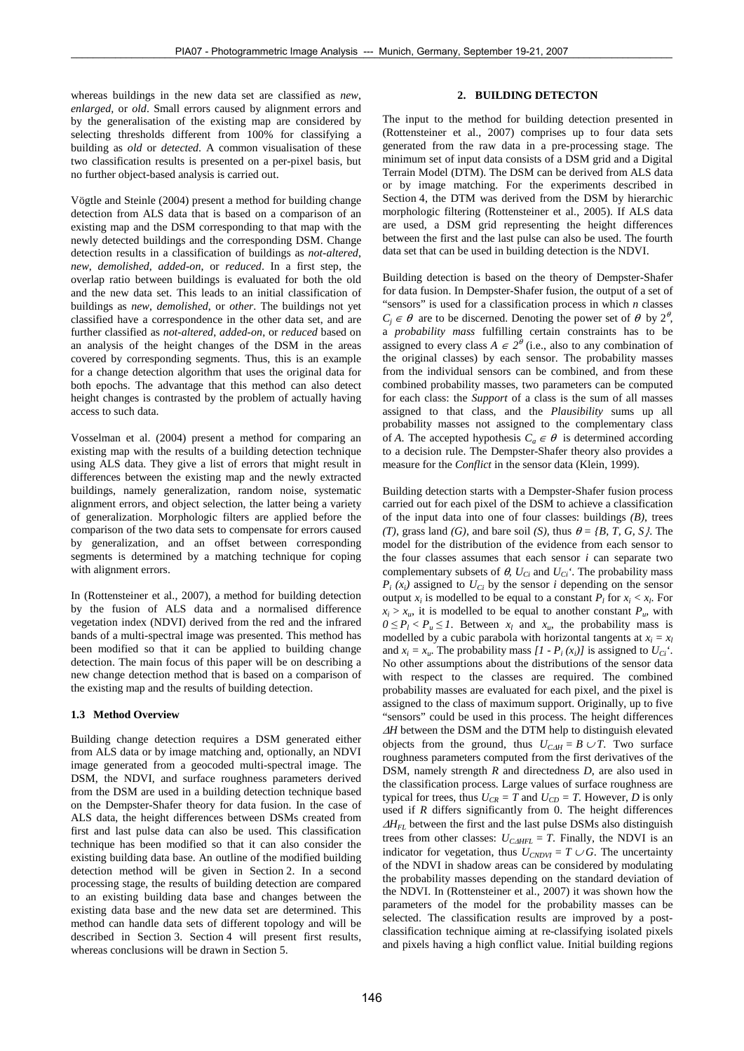whereas buildings in the new data set are classified as *new*, *enlarged,* or *old*. Small errors caused by alignment errors and by the generalisation of the existing map are considered by selecting thresholds different from 100% for classifying a building as *old* or *detected*. A common visualisation of these two classification results is presented on a per-pixel basis, but no further object-based analysis is carried out.

Vögtle and Steinle (2004) present a method for building change detection from ALS data that is based on a comparison of an existing map and the DSM corresponding to that map with the newly detected buildings and the corresponding DSM. Change detection results in a classification of buildings as *not-altered*, *new*, *demolished*, *added-on*, or *reduced*. In a first step, the overlap ratio between buildings is evaluated for both the old and the new data set. This leads to an initial classification of buildings as *new*, *demolished*, or *other*. The buildings not yet classified have a correspondence in the other data set, and are further classified as *not-altered*, *added-on*, or *reduced* based on an analysis of the height changes of the DSM in the areas covered by corresponding segments. Thus, this is an example for a change detection algorithm that uses the original data for both epochs. The advantage that this method can also detect height changes is contrasted by the problem of actually having access to such data.

Vosselman et al. (2004) present a method for comparing an existing map with the results of a building detection technique using ALS data. They give a list of errors that might result in differences between the existing map and the newly extracted buildings, namely generalization, random noise, systematic alignment errors, and object selection, the latter being a variety of generalization. Morphologic filters are applied before the comparison of the two data sets to compensate for errors caused by generalization, and an offset between corresponding segments is determined by a matching technique for coping with alignment errors.

In (Rottensteiner et al., 2007), a method for building detection by the fusion of ALS data and a normalised difference vegetation index (NDVI) derived from the red and the infrared bands of a multi-spectral image was presented. This method has been modified so that it can be applied to building change detection. The main focus of this paper will be on describing a new change detection method that is based on a comparison of the existing map and the results of building detection.

#### **1.3 Method Overview**

Building change detection requires a DSM generated either from ALS data or by image matching and, optionally, an NDVI image generated from a geocoded multi-spectral image. The DSM, the NDVI, and surface roughness parameters derived from the DSM are used in a building detection technique based on the Dempster-Shafer theory for data fusion. In the case of ALS data, the height differences between DSMs created from first and last pulse data can also be used. This classification technique has been modified so that it can also consider the existing building data base. An outline of the modified building detection method will be given in Section 2. In a second processing stage, the results of building detection are compared to an existing building data base and changes between the existing data base and the new data set are determined. This method can handle data sets of different topology and will be described in Section 3. Section 4 will present first results, whereas conclusions will be drawn in Section 5.

# **2. BUILDING DETECTON**

The input to the method for building detection presented in (Rottensteiner et al., 2007) comprises up to four data sets generated from the raw data in a pre-processing stage. The minimum set of input data consists of a DSM grid and a Digital Terrain Model (DTM). The DSM can be derived from ALS data or by image matching. For the experiments described in Section 4, the DTM was derived from the DSM by hierarchic morphologic filtering (Rottensteiner et al., 2005). If ALS data are used, a DSM grid representing the height differences between the first and the last pulse can also be used. The fourth data set that can be used in building detection is the NDVI.

Building detection is based on the theory of Dempster-Shafer for data fusion. In Dempster-Shafer fusion, the output of a set of "sensors" is used for a classification process in which *n* classes  $C_i \in \theta$  are to be discerned. Denoting the power set of  $\theta$  by  $2^{\theta}$ , a *probability mass* fulfilling certain constraints has to be assigned to every class  $A \in 2^{\theta}$  (i.e., also to any combination of the original classes) by each sensor. The probability masses from the individual sensors can be combined, and from these combined probability masses, two parameters can be computed for each class: the *Support* of a class is the sum of all masses assigned to that class, and the *Plausibility* sums up all probability masses not assigned to the complementary class of *A*. The accepted hypothesis  $C_a \in \theta$  is determined according to a decision rule. The Dempster-Shafer theory also provides a measure for the *Conflict* in the sensor data (Klein, 1999).

Building detection starts with a Dempster-Shafer fusion process carried out for each pixel of the DSM to achieve a classification of the input data into one of four classes: buildings *(B)*, trees *(T)*, grass land *(G)*, and bare soil *(S)*, thus  $\theta = \{B, T, G, S\}$ . The model for the distribution of the evidence from each sensor to the four classes assumes that each sensor *i* can separate two complementary subsets of  $\theta$ ,  $U_{Ci}$  and  $U_{Ci}$ <sup>'</sup>. The probability mass  $P_i(x_i)$  assigned to  $U_{Ci}$  by the sensor *i* depending on the sensor output  $x_i$  is modelled to be equal to a constant  $P_l$  for  $x_i < x_l$ . For  $x_i > x_u$ , it is modelled to be equal to another constant  $P_u$ , with  $0 \le P_l < P_u \le I$ . Between  $x_l$  and  $x_u$ , the probability mass is modelled by a cubic parabola with horizontal tangents at  $x_i = x_i$ and  $x_i = x_{ii}$ . The probability mass  $[I - P_i(x_i)]$  is assigned to  $U_{Ci}$ <sup>\*</sup>. No other assumptions about the distributions of the sensor data with respect to the classes are required. The combined probability masses are evaluated for each pixel, and the pixel is assigned to the class of maximum support. Originally, up to five "sensors" could be used in this process. The height differences <sup>Δ</sup>*H* between the DSM and the DTM help to distinguish elevated objects from the ground, thus  $U_{C\Delta H} = B \cup T$ . Two surface roughness parameters computed from the first derivatives of the DSM, namely strength *R* and directedness *D*, are also used in the classification process. Large values of surface roughness are typical for trees, thus  $U_{CR} = T$  and  $U_{CD} = T$ . However, *D* is only used if *R* differs significantly from 0. The height differences <sup>Δ</sup>*HFL* between the first and the last pulse DSMs also distinguish trees from other classes:  $U_{CAHFL} = T$ . Finally, the NDVI is an indicator for vegetation, thus  $U_{\text{CNDVI}} = T \cup G$ . The uncertainty of the NDVI in shadow areas can be considered by modulating the probability masses depending on the standard deviation of the NDVI. In (Rottensteiner et al., 2007) it was shown how the parameters of the model for the probability masses can be selected. The classification results are improved by a postclassification technique aiming at re-classifying isolated pixels and pixels having a high conflict value. Initial building regions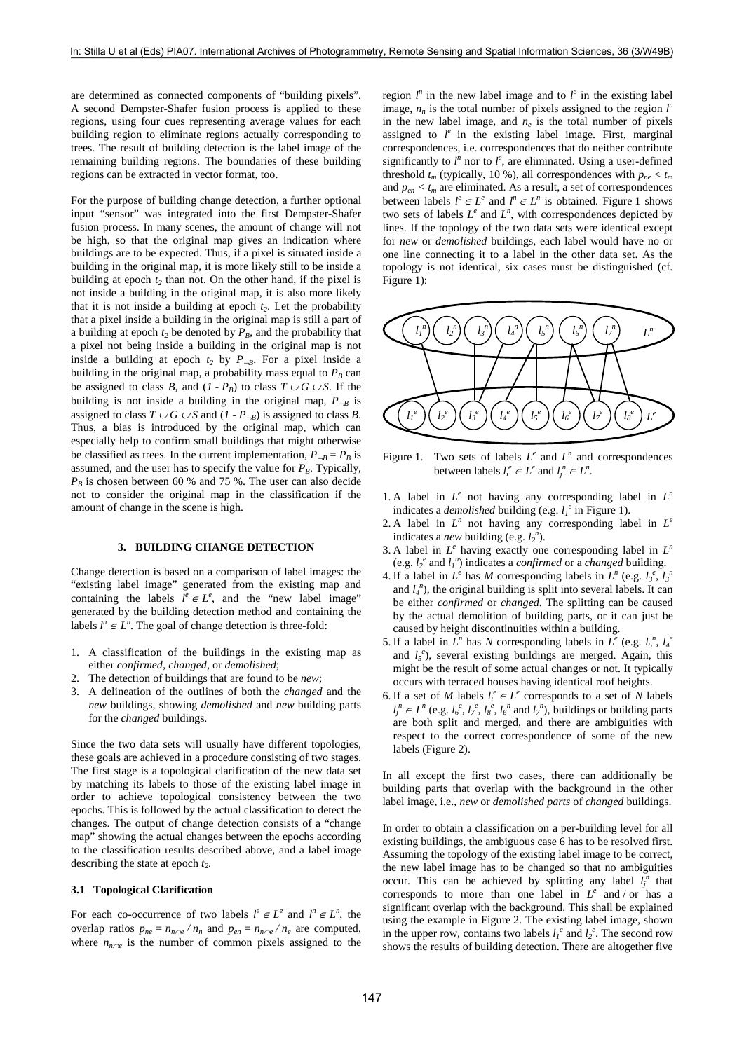are determined as connected components of "building pixels". A second Dempster-Shafer fusion process is applied to these regions, using four cues representing average values for each building region to eliminate regions actually corresponding to trees. The result of building detection is the label image of the remaining building regions. The boundaries of these building regions can be extracted in vector format, too.

For the purpose of building change detection, a further optional input "sensor" was integrated into the first Dempster-Shafer fusion process. In many scenes, the amount of change will not be high, so that the original map gives an indication where buildings are to be expected. Thus, if a pixel is situated inside a building in the original map, it is more likely still to be inside a building at epoch  $t_2$  than not. On the other hand, if the pixel is not inside a building in the original map, it is also more likely that it is not inside a building at epoch  $t_2$ . Let the probability that a pixel inside a building in the original map is still a part of a building at epoch  $t_2$  be denoted by  $P_B$ , and the probability that a pixel not being inside a building in the original map is not inside a building at epoch  $t_2$  by  $P_{-B}$ . For a pixel inside a building in the original map, a probability mass equal to  $P_B$  can be assigned to class *B*, and  $(I - P_B)$  to class  $T \cup G \cup S$ . If the building is not inside a building in the original map,  $P_{-B}$  is assigned to class  $T \cup G \cup S$  and  $(I - P_{-B})$  is assigned to class *B*. Thus, a bias is introduced by the original map, which can especially help to confirm small buildings that might otherwise be classified as trees. In the current implementation,  $P_{\neg B} = P_B$  is assumed, and the user has to specify the value for  $P_B$ . Typically,  $P_B$  is chosen between 60 % and 75 %. The user can also decide not to consider the original map in the classification if the amount of change in the scene is high.

#### **3. BUILDING CHANGE DETECTION**

Change detection is based on a comparison of label images: the "existing label image" generated from the existing map and containing the labels  $l^e \in L^e$ , and the "new label image" generated by the building detection method and containing the labels  $l^n \in L^n$ . The goal of change detection is three-fold:

- 1. A classification of the buildings in the existing map as either *confirmed*, *changed*, or *demolished*;
- 2. The detection of buildings that are found to be *new*;
- 3. A delineation of the outlines of both the *changed* and the *new* buildings, showing *demolished* and *new* building parts for the *changed* buildings.

Since the two data sets will usually have different topologies, these goals are achieved in a procedure consisting of two stages. The first stage is a topological clarification of the new data set by matching its labels to those of the existing label image in order to achieve topological consistency between the two epochs. This is followed by the actual classification to detect the changes. The output of change detection consists of a "change map" showing the actual changes between the epochs according to the classification results described above, and a label image describing the state at epoch  $t_2$ .

#### **3.1 Topological Clarification**

For each co-occurrence of two labels  $l^e \in L^e$  and  $l^n \in L^n$ , the overlap ratios  $p_{ne} = n_{n \cap e} / n_n$  and  $p_{en} = n_{n \cap e} / n_e$  are computed, where  $n_{n \sim e}$  is the number of common pixels assigned to the

region  $l^n$  in the new label image and to  $l^e$  in the existing label image,  $n_n$  is the total number of pixels assigned to the region  $l^n$ in the new label image, and  $n_e$  is the total number of pixels assigned to  $l^e$  in the existing label image. First, marginal correspondences, i.e. correspondences that do neither contribute significantly to  $l^n$  nor to  $l^e$ , are eliminated. Using a user-defined threshold  $t_m$  (typically, 10 %), all correspondences with  $p_{ne} < t_m$ and  $p_{en} < t_m$  are eliminated. As a result, a set of correspondences between labels  $l^e \in L^e$  and  $l^n \in L^n$  is obtained. Figure 1 shows two sets of labels  $L^e$  and  $L^n$ , with correspondences depicted by lines. If the topology of the two data sets were identical except for *new* or *demolished* buildings, each label would have no or one line connecting it to a label in the other data set. As the topology is not identical, six cases must be distinguished (cf. Figure 1):



Figure 1. Two sets of labels  $L^e$  and  $L^n$  and correspondences between labels  $l_i^e \in L^e$  and  $l_j^n \in L^n$ .

- 1. A label in  $L^e$  not having any corresponding label in  $L^n$ indicates a *demolished* building (e.g.  $l_1^e$  in Figure 1).
- 2. A label in  $L^n$  not having any corresponding label in  $L^e$ indicates a *new* building (e.g.  $l_2^n$ ).
- 3. A label in  $L^e$  having exactly one corresponding label in  $L^n$ (e.g.  $l_2^e$  and  $l_1^n$ ) indicates a *confirmed* or a *changed* building.
- 4. If a label in  $L^e$  has *M* corresponding labels in  $L^n$  (e.g.  $l_3^e$ ,  $l_3^h$ ) and  $l_4$ <sup>n</sup>), the original building is split into several labels. It can be either *confirmed* or *changed*. The splitting can be caused by the actual demolition of building parts, or it can just be caused by height discontinuities within a building.
- 5. If a label in  $L^n$  has *N* corresponding labels in  $L^e$  (e.g.  $l_5^n$ ,  $l_4^e$ ) and  $l_5^e$ ), several existing buildings are merged. Again, this might be the result of some actual changes or not. It typically occurs with terraced houses having identical roof heights.
- 6. If a set of *M* labels  $l_i^e \in L^e$  corresponds to a set of *N* labels  $l_j^n \in L^n$  (e.g.  $l_6^e$ ,  $l_7^e$ ,  $l_8^e$ ,  $l_6^n$  and  $l_7^n$ ), buildings or building parts are both split and merged, and there are ambiguities with respect to the correct correspondence of some of the new labels (Figure 2).

In all except the first two cases, there can additionally be building parts that overlap with the background in the other label image, i.e., *new* or *demolished parts* of *changed* buildings.

In order to obtain a classification on a per-building level for all existing buildings, the ambiguous case 6 has to be resolved first. Assuming the topology of the existing label image to be correct, the new label image has to be changed so that no ambiguities occur. This can be achieved by splitting any label  $l_j^n$  that corresponds to more than one label in *L<sup>e</sup>* and / or has a significant overlap with the background. This shall be explained using the example in Figure 2. The existing label image, shown in the upper row, contains two labels  $l_1^e$  and  $l_2^e$ . The second row shows the results of building detection. There are altogether five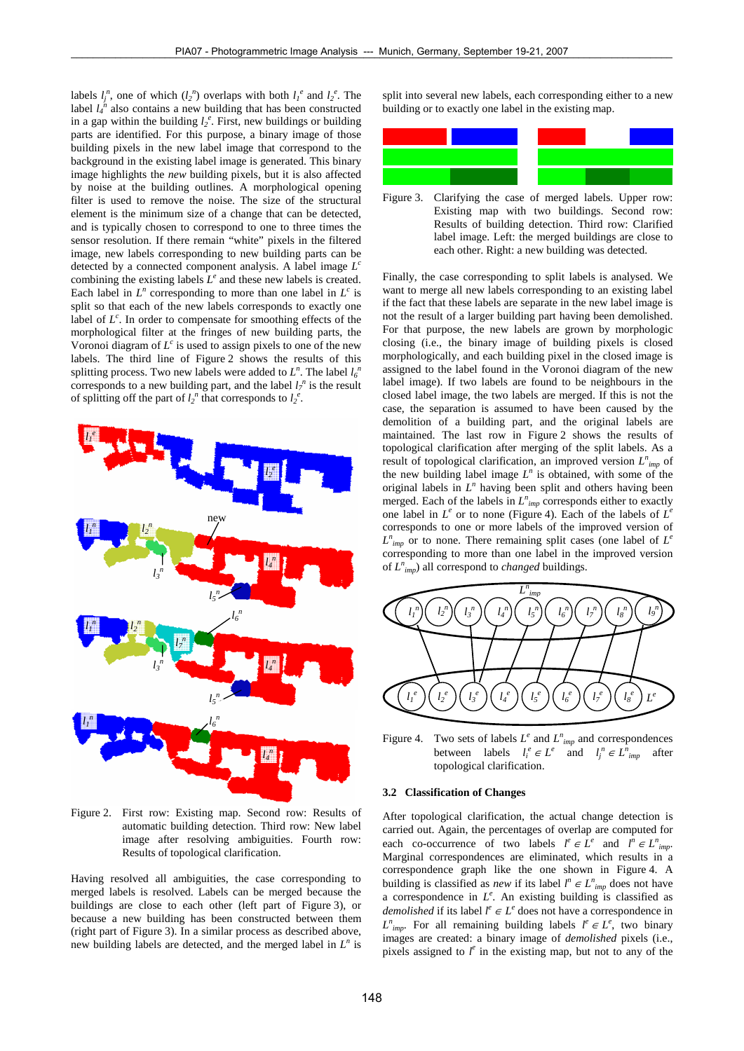labels  $l_j^n$ , one of which  $(l_2^n)$  overlaps with both  $l_l^e$  and  $l_2^e$ . The label  $l_4^{\prime n}$  also contains a new building that has been constructed in a gap within the building  $l_2^e$ . First, new buildings or building parts are identified. For this purpose, a binary image of those building pixels in the new label image that correspond to the background in the existing label image is generated. This binary image highlights the *new* building pixels, but it is also affected by noise at the building outlines. A morphological opening filter is used to remove the noise. The size of the structural element is the minimum size of a change that can be detected, and is typically chosen to correspond to one to three times the sensor resolution. If there remain "white" pixels in the filtered image, new labels corresponding to new building parts can be detected by a connected component analysis. A label image *L<sup>c</sup>* combining the existing labels  $L^e$  and these new labels is created. Each label in  $L^n$  corresponding to more than one label in  $L^c$  is split so that each of the new labels corresponds to exactly one label of  $L^c$ . In order to compensate for smoothing effects of the morphological filter at the fringes of new building parts, the Voronoi diagram of  $L^c$  is used to assign pixels to one of the new labels. The third line of Figure 2 shows the results of this splitting process. Two new labels were added to  $L^n$ . The label  $l_0^{\,n}$ corresponds to a new building part, and the label  $l_7^n$  is the result of splitting off the part of  $l_2^n$  that corresponds to  $l_2^e$ .



Figure 2. First row: Existing map. Second row: Results of automatic building detection. Third row: New label image after resolving ambiguities. Fourth row: Results of topological clarification.

Having resolved all ambiguities, the case corresponding to merged labels is resolved. Labels can be merged because the buildings are close to each other (left part of Figure 3), or because a new building has been constructed between them (right part of Figure 3). In a similar process as described above, new building labels are detected, and the merged label in *L<sup>n</sup>* is split into several new labels, each corresponding either to a new building or to exactly one label in the existing map.



Figure 3. Clarifying the case of merged labels. Upper row: Existing map with two buildings. Second row: Results of building detection. Third row: Clarified label image. Left: the merged buildings are close to each other. Right: a new building was detected.

Finally, the case corresponding to split labels is analysed. We want to merge all new labels corresponding to an existing label if the fact that these labels are separate in the new label image is not the result of a larger building part having been demolished. For that purpose, the new labels are grown by morphologic closing (i.e., the binary image of building pixels is closed morphologically, and each building pixel in the closed image is assigned to the label found in the Voronoi diagram of the new label image). If two labels are found to be neighbours in the closed label image, the two labels are merged. If this is not the case, the separation is assumed to have been caused by the demolition of a building part, and the original labels are maintained. The last row in Figure 2 shows the results of topological clarification after merging of the split labels. As a result of topological clarification, an improved version *L<sup>n</sup> imp* of the new building label image  $L^n$  is obtained, with some of the original labels in *L<sup>n</sup>* having been split and others having been merged. Each of the labels in  $L^n_{imp}$  corresponds either to exactly one label in  $L^e$  or to none (Figure 4). Each of the labels of  $L^e$ corresponds to one or more labels of the improved version of  $L^n_{imp}$  or to none. There remaining split cases (one label of  $L^e$ corresponding to more than one label in the improved version of *L<sup>n</sup> imp*) all correspond to *changed* buildings.



Figure 4. Two sets of labels  $L^e$  and  $L^n_{imp}$  and correspondences between labels  $l_i^e \in L^e$  and  $l_j^n \in L^n_{imp}$  after topological clarification.

#### **3.2 Classification of Changes**

After topological clarification, the actual change detection is carried out. Again, the percentages of overlap are computed for each co-occurrence of two labels  $l^e \in L^e$  and  $l^n \in L^n_{imp}$ . Marginal correspondences are eliminated, which results in a correspondence graph like the one shown in Figure 4. A building is classified as *new* if its label  $l^n \in L^n_{imp}$  does not have a correspondence in  $L^e$ . An existing building is classified as *demolished* if its label  $l^e \in L^e$  does not have a correspondence in  $L^n_{imp}$ . For all remaining building labels  $l^e \in L^e$ , two binary images are created: a binary image of *demolished* pixels (i.e., pixels assigned to  $l^e$  in the existing map, but not to any of the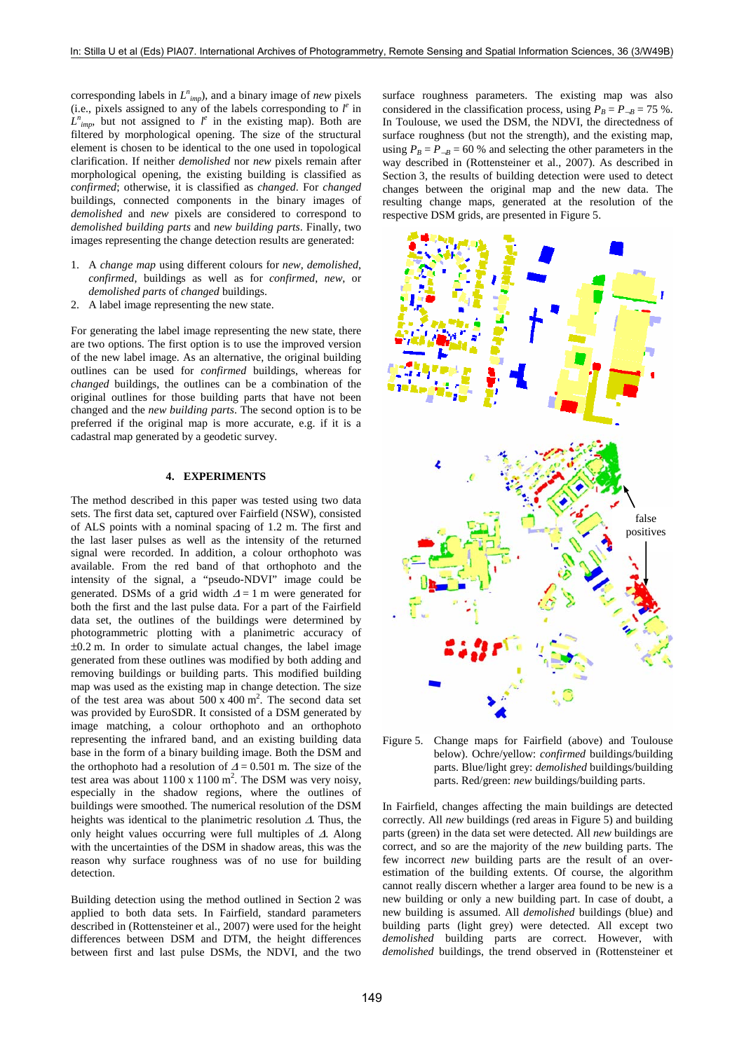corresponding labels in  $L^n_{imp}$ , and a binary image of *new* pixels (i.e., pixels assigned to any of the labels corresponding to  $l^e$  in  $L^n_{imp}$ , but not assigned to  $l^e$  in the existing map). Both are filtered by morphological opening. The size of the structural element is chosen to be identical to the one used in topological clarification. If neither *demolished* nor *new* pixels remain after morphological opening, the existing building is classified as *confirmed*; otherwise, it is classified as *changed*. For *changed* buildings, connected components in the binary images of *demolished* and *new* pixels are considered to correspond to *demolished building parts* and *new building parts*. Finally, two images representing the change detection results are generated:

- 1. A *change map* using different colours for *new*, *demolished*, *confirmed*, buildings as well as for *confirmed*, *new*, or *demolished parts* of *changed* buildings.
- 2. A label image representing the new state.

For generating the label image representing the new state, there are two options. The first option is to use the improved version of the new label image. As an alternative, the original building outlines can be used for *confirmed* buildings, whereas for *changed* buildings, the outlines can be a combination of the original outlines for those building parts that have not been changed and the *new building parts*. The second option is to be preferred if the original map is more accurate, e.g. if it is a cadastral map generated by a geodetic survey.

#### **4. EXPERIMENTS**

The method described in this paper was tested using two data sets. The first data set, captured over Fairfield (NSW), consisted of ALS points with a nominal spacing of 1.2 m. The first and the last laser pulses as well as the intensity of the returned signal were recorded. In addition, a colour orthophoto was available. From the red band of that orthophoto and the intensity of the signal, a "pseudo-NDVI" image could be generated. DSMs of a grid width  $\Delta = 1$  m were generated for both the first and the last pulse data. For a part of the Fairfield data set, the outlines of the buildings were determined by photogrammetric plotting with a planimetric accuracy of ±0.2 m. In order to simulate actual changes, the label image generated from these outlines was modified by both adding and removing buildings or building parts. This modified building map was used as the existing map in change detection. The size of the test area was about  $500 \times 400$  m<sup>2</sup>. The second data set was provided by EuroSDR. It consisted of a DSM generated by image matching, a colour orthophoto and an orthophoto representing the infrared band, and an existing building data base in the form of a binary building image. Both the DSM and the orthophoto had a resolution of  $\Delta = 0.501$  m. The size of the test area was about  $1100 \times 1100 \text{ m}^2$ . The DSM was very noisy, especially in the shadow regions, where the outlines of buildings were smoothed. The numerical resolution of the DSM heights was identical to the planimetric resolution Δ. Thus, the only height values occurring were full multiples of Δ. Along with the uncertainties of the DSM in shadow areas, this was the reason why surface roughness was of no use for building detection.

Building detection using the method outlined in Section 2 was applied to both data sets. In Fairfield, standard parameters described in (Rottensteiner et al., 2007) were used for the height differences between DSM and DTM, the height differences between first and last pulse DSMs, the NDVI, and the two surface roughness parameters. The existing map was also considered in the classification process, using  $P_B = P_{-B} = 75$  %. In Toulouse, we used the DSM, the NDVI, the directedness of surface roughness (but not the strength), and the existing map, using  $P_B = P_{-B} = 60$  % and selecting the other parameters in the way described in (Rottensteiner et al., 2007). As described in Section 3, the results of building detection were used to detect changes between the original map and the new data. The resulting change maps, generated at the resolution of the respective DSM grids, are presented in Figure 5.



Figure 5. Change maps for Fairfield (above) and Toulouse below). Ochre/yellow: *confirmed* buildings/building parts. Blue/light grey: *demolished* buildings/building parts. Red/green: *new* buildings/building parts.

In Fairfield, changes affecting the main buildings are detected correctly. All *new* buildings (red areas in Figure 5) and building parts (green) in the data set were detected. All *new* buildings are correct, and so are the majority of the *new* building parts. The few incorrect *new* building parts are the result of an overestimation of the building extents. Of course, the algorithm cannot really discern whether a larger area found to be new is a new building or only a new building part. In case of doubt, a new building is assumed. All *demolished* buildings (blue) and building parts (light grey) were detected. All except two *demolished* building parts are correct. However, with *demolished* buildings, the trend observed in (Rottensteiner et